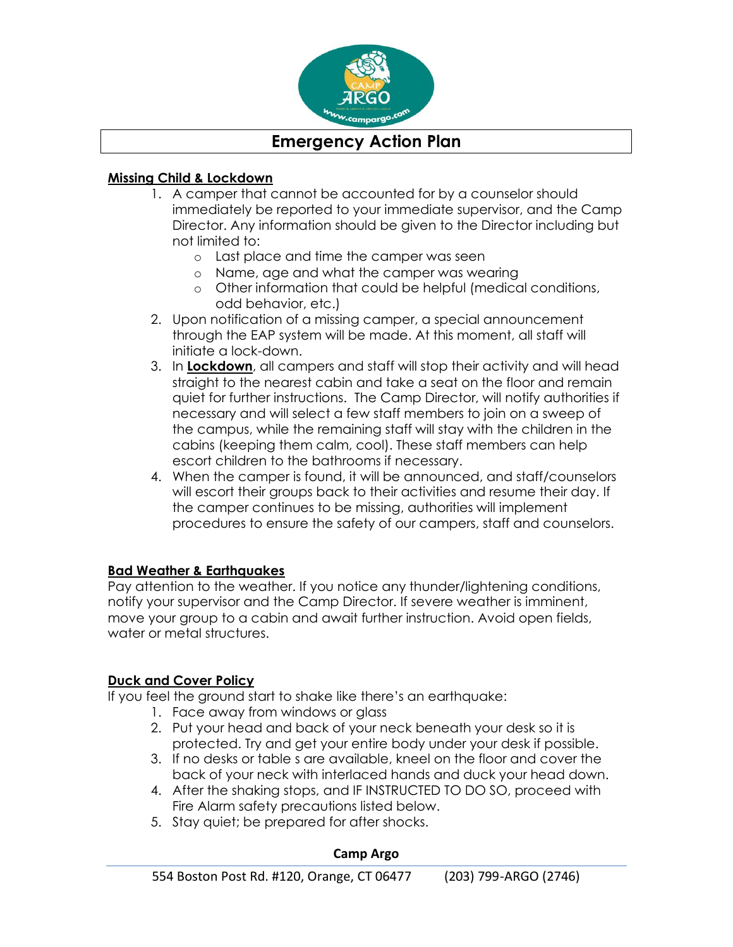

# **Emergency Action Plan**

### **Missing Child & Lockdown**

- 1. A camper that cannot be accounted for by a counselor should immediately be reported to your immediate supervisor, and the Camp Director. Any information should be given to the Director including but not limited to:
	- o Last place and time the camper was seen
	- o Name, age and what the camper was wearing
	- o Other information that could be helpful (medical conditions, odd behavior, etc.)
- 2. Upon notification of a missing camper, a special announcement through the EAP system will be made. At this moment, all staff will initiate a lock-down.
- 3. In **Lockdown**, all campers and staff will stop their activity and will head straight to the nearest cabin and take a seat on the floor and remain quiet for further instructions. The Camp Director, will notify authorities if necessary and will select a few staff members to join on a sweep of the campus, while the remaining staff will stay with the children in the cabins (keeping them calm, cool). These staff members can help escort children to the bathrooms if necessary.
- 4. When the camper is found, it will be announced, and staff/counselors will escort their groups back to their activities and resume their day. If the camper continues to be missing, authorities will implement procedures to ensure the safety of our campers, staff and counselors.

## **Bad Weather & Earthquakes**

Pay attention to the weather. If you notice any thunder/lightening conditions, notify your supervisor and the Camp Director. If severe weather is imminent, move your group to a cabin and await further instruction. Avoid open fields, water or metal structures.

### **Duck and Cover Policy**

If you feel the ground start to shake like there's an earthquake:

- 1. Face away from windows or glass
- 2. Put your head and back of your neck beneath your desk so it is protected. Try and get your entire body under your desk if possible.
- 3. If no desks or table s are available, kneel on the floor and cover the back of your neck with interlaced hands and duck your head down.
- 4. After the shaking stops, and IF INSTRUCTED TO DO SO, proceed with Fire Alarm safety precautions listed below.
- 5. Stay quiet; be prepared for after shocks.

### **Camp Argo**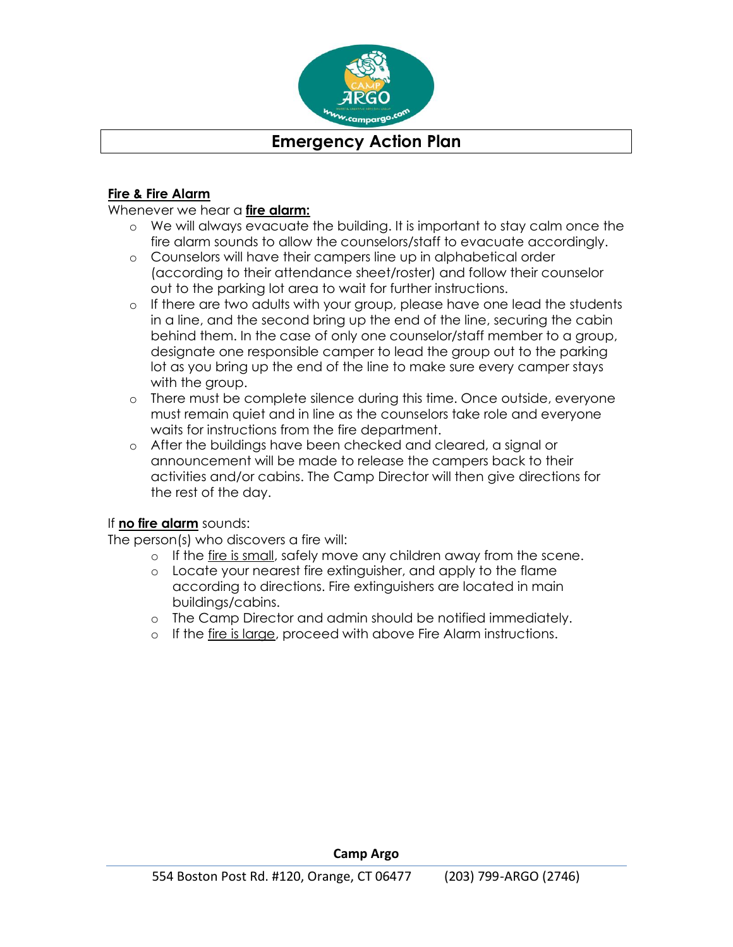

# **Emergency Action Plan**

#### **Fire & Fire Alarm**

#### Whenever we hear a **fire alarm:**

- o We will always evacuate the building. It is important to stay calm once the fire alarm sounds to allow the counselors/staff to evacuate accordingly.
- o Counselors will have their campers line up in alphabetical order (according to their attendance sheet/roster) and follow their counselor out to the parking lot area to wait for further instructions.
- o If there are two adults with your group, please have one lead the students in a line, and the second bring up the end of the line, securing the cabin behind them. In the case of only one counselor/staff member to a group, designate one responsible camper to lead the group out to the parking lot as you bring up the end of the line to make sure every camper stays with the group.
- o There must be complete silence during this time. Once outside, everyone must remain quiet and in line as the counselors take role and everyone waits for instructions from the fire department.
- o After the buildings have been checked and cleared, a signal or announcement will be made to release the campers back to their activities and/or cabins. The Camp Director will then give directions for the rest of the day.

#### If **no fire alarm** sounds:

The person(s) who discovers a fire will:

- o If the fire is small, safely move any children away from the scene.
- o Locate your nearest fire extinguisher, and apply to the flame according to directions. Fire extinguishers are located in main buildings/cabins.
- o The Camp Director and admin should be notified immediately.
- o If the fire is large, proceed with above Fire Alarm instructions.